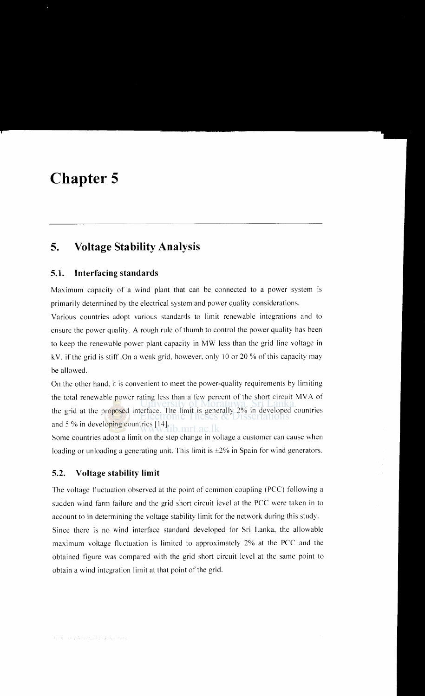# **Chapter 5**

# **5. Voltage Stability Analysis**

# **5.1. Interfacing standards**

Maximum capacity of a wind plant that can be connected to a power system is primarily determined by the electrical system and power quality considerations.

Various countries adopt various standards to limit renewable integrations and to ensure the power quality. A rough rule of thumb to control the power quality has been to keep the renewable power plant capacity in MW less than the grid line voltage in kV, if the grid is stiff. On a weak grid, however, only 10 or 20 % of this capacity may be allowed.

On the other hand. it is convenient to meet the power-quality requirements by limiting the total renewable power rating less than a few percent of the short circuit MVA of the grid at the proposed interface. The limit is generally 2% in developed countries and 5% in developing countries [14].

Some countries adopt a limit on the step change in voltage a customer can cause when loading or unloading a generating unit. This limit is  $\pm 2\%$  in Spain for wind generators.

# **5.2. Voltage stability limit**

The voltage tluctuation observed at the point of common coupling (PCC) following a sudden wind farm failure and the grid short circuit level at the PCC were taken in to account to in determining the voltage stability limit for the network during this study. Since there is no wind interface standard developed for Sri Lanka, the allowable maximum voltage fluctuation is limited to approximately 2% at the PCC and the obtained figure was compared with the grid short circuit level at the same point to obtain a wind integration limit at that point of the grid.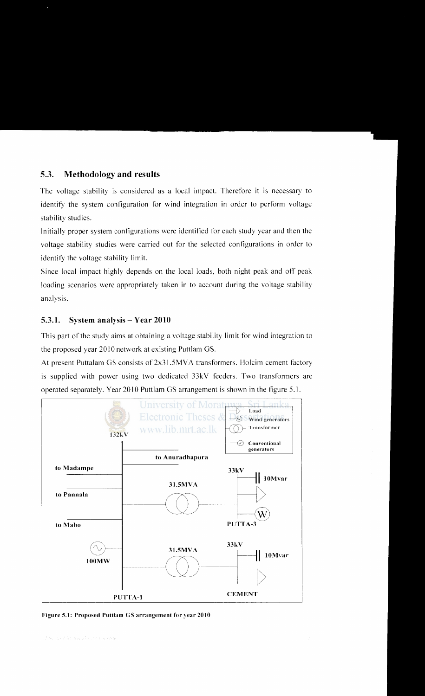# 5.3. Methodology and results

The voltage stability is considered as a local impact. Therefore it is necessary to identify the system configuration for wind integration in order to perform voltage stability studies.

Initially proper system configurations were identified for each study year and then the voltage stability studies were carried out for the selected configurations in order to identify the voltage stability limit.

Since local impact highly depends on the local loads, both night peak and off peak loading scenarios were appropriately taken in to account during the voltage stability analysis.

# 5.3.1. System analysis- Year 2010

This part of the study aims at obtaining a voltage stability limit for wind integration to the proposed year 2010 network at existing Puttlam GS.

At present Puttalam GS consists of 2x31.5MV A transformers. Holcim cement factory is supplied with power using two dedicated 33kV feeders. Two transformers are operated separately. Year 2010 Puttlam GS arrangement is shown in the figure 5.1.



Figure 5.1: Proposed Puttlam GS arrangement for year 2010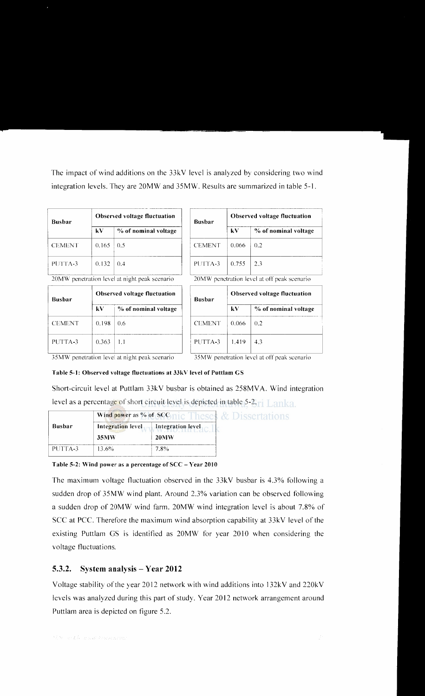The impact of wind additions on the 33kV level is analyzed by considering two wind integration levels. They are 20MW and 35MW. Results are summarized in table 5-1.

| <b>Busbar</b> | <b>Observed voltage fluctuation</b> |                      | <b>Busbar</b> | Observed vo |               |
|---------------|-------------------------------------|----------------------|---------------|-------------|---------------|
|               | kV                                  | % of nominal voltage |               | kV          | $\frac{0}{0}$ |
| <b>CEMENT</b> | 0.165                               | 0.5                  | <b>CEMENT</b> | 0.066       | 0.2           |
| PUTTA-3       | 0.132                               | -0.4                 | PUTTA-3       | 0.755       | 2.3           |

20MW penetration level at night peak scenario 20MW penetration level at off peak scenario

| <b>Busbar</b> |       | <b>Observed voltage fluctuation</b> |               | Observed vo |               |
|---------------|-------|-------------------------------------|---------------|-------------|---------------|
|               | kV    | % of nominal voltage                |               | kV          | $\frac{0}{0}$ |
| <b>CEMENT</b> | 0.198 | $0.6^{\circ}$                       | <b>CEMENT</b> | 0.066       | $0.2^{\circ}$ |
| PUTTA-3       | 0.363 | 1.1                                 | PUTTA-3       | 1.419       | 4.3           |

| <b>Busbar</b> | <b>Observed voltage fluctuation</b> |                                                   |  |
|---------------|-------------------------------------|---------------------------------------------------|--|
|               | kV                                  | % of nominal voltage                              |  |
| <b>CEMENT</b> | 0.066                               | 0.2                                               |  |
| PUTTA-3       | 0.755                               | 2.3                                               |  |
| 30 M J J J J  |                                     | a sa stanito a domed ne niff a soli no sa sa sato |  |

| Observed voltage fluctuation |                      | <b>Busbar</b> | <b>Observed voltage fluctuation</b> |                      |  |
|------------------------------|----------------------|---------------|-------------------------------------|----------------------|--|
| kV -                         | % of nominal voltage |               | kV.                                 | % of nominal voltage |  |
| 0.198                        | 0.6                  | <b>CEMENT</b> | 0.066                               | 0.2                  |  |
| 0.363-                       |                      | PUTTA-3       | 1.419                               | 4.3                  |  |

35MW penetration level at night peak scenario 35MW penetration level at off peak scenario

#### Table 5-1: Observed voltage fluctuations at 33kV level of Puttlam GS

Short-circuit level at Puttlam 33kV busbar is obtained as 258MVA. Wind integration level as a percentage of short circuit level is depicted in table 5-2, $\mathbf{r}_1 \mathbf{L}$  anka.

|         |          | Wind power as % of SCGnic Theses & Dissertations |  |  |
|---------|----------|--------------------------------------------------|--|--|
| Busbar  |          | Integration level Integration level              |  |  |
|         | 35MW     | <b>20MW</b>                                      |  |  |
| PUTTA-3 | $13.6\%$ | 7.8%                                             |  |  |

Table 5-2: Wind power as a percentage of SCC- Year 2010

The maximum voltage fluctuation observed in the 33kV busbar is 4.3% following a sudden drop of 35MW wind plant. Around 2.3% variation can be observed following a sudden drop of 20MW wind farm. 20MW wind integration level is about 7.8% of SCC at PCC. Therefore the maximum wind absorption capability at 33kV level of the existing Puttlam GS is identified as 20MW for year 2010 when considering the voltage fluctuations.

### 5.3.2. System analysis- Year 2012

Voltage stability of the year 2012 network with wind additions into 132kV and 220kV levels was analyzed during this part of study. Year 2012 network arrangement around Puttlam area is depicted on figure 5.2.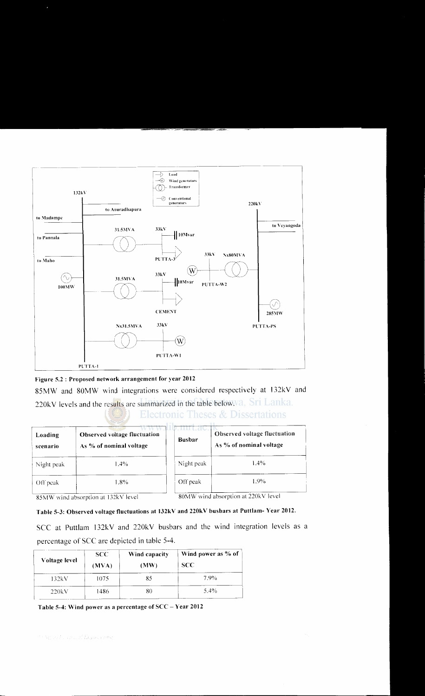



85MW and 80MW wind integrations were considered respectively at 132kV and 220kV levels and the results are summarized in the table below.va, Sri Lanka. Electronic Theses  $\&$  Dissertations

| Loading<br>scenario | Observed voltage fluctuation<br>As % of nominal voltage | <b>Busbar</b> | Observed voltage fluctuation<br>As % of nominal voltage |
|---------------------|---------------------------------------------------------|---------------|---------------------------------------------------------|
| Night peak          | $1.4\%$                                                 | Night peak    | $1.4\%$                                                 |
| Off peak            | $1.8\%$ .                                               | Off peak      | 1.9%                                                    |

85MW wind absorption at 132kV level

80MW wind absorption at 220kV level

# Table S-3: Observed voltage fluctuations at 132kV and 220kV busbars at Puttlam- Year 2012.

SCC at Puttlam 132kV and 220kV busbars and the wind integration levels as a percentage of SCC are depicted in table 5-4.

| Voltage level | <b>SCC</b><br>(MVA) | Wind capacity<br>(MW) | Wind power as % of<br><b>SCC</b> |
|---------------|---------------------|-----------------------|----------------------------------|
| 132kV         | 1075                | 85                    | 7.9%                             |
| 220kV         | 1486                | 80                    | 5.4%                             |

Table S-4: Wind power as a percentage of SCC- Year 2012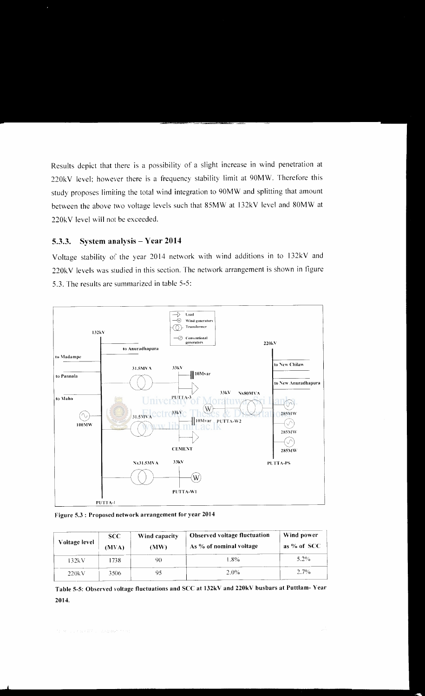Results depict that there is a possibility of a slight increase in wind penetration at 220kV level; however there is a frequency stability limit at 90MW. Therefore this study proposes limiting the total wind integration to 90MW and splitting that amount between the above two voltage levels such that 85MW at 132kV level and 80MW at 220kV level will not be exceeded.

### 5.3.3. System analysis- Year 2014

Voltage stability of the year 2014 network with wind additions in to 132kV and 220kV levels was studied in this section. The network arrangement is shown in figure 5.3. The results are summarized in table 5-5:



Figure 5.3 : Proposed network arrangement for year 2014

| Voltage level | <b>SCC</b><br>(MVA) | Wind capacity<br>(MW) | <b>Observed voltage fluctuation</b><br>As % of nominal voltage | Wind power<br>as % of SCC |
|---------------|---------------------|-----------------------|----------------------------------------------------------------|---------------------------|
| 132kV         | 1738                | 90                    | l .8%                                                          | 5.2%                      |
| 220kV         | 3506                | 95                    | $2.0\%$                                                        | 2.7%                      |

Table 5-5: Observed voltage fluctuations and SCC at 132kV and 220kV busbars at Puttlam- Year 2014.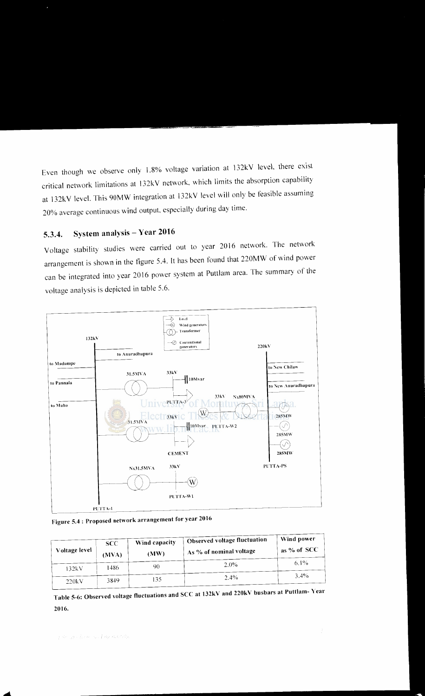Even though we observe only 1.8% voltage variation at 132kV level, there exist critical network limitations at \32k V network. which limits the absorption capability at 132kV level. This 90MW integration at \32kV level will only be feasible assuming 20% average continuous wind output. especially during day time.

# 5.3.4. System analysis- Year 2016

Voltage stability studies were carried out to year 2016 network. The network arrangement is shown in the figure 5.4. It has been found that 220MW of wind power can be integrated into year 2016 power system at Puttlam area. The summary of the voltage analysis is depicted in table 5.6.



Figure 5.4: Proposed network arrangement for year 2016

| Voltage level | SCC<br>(MVA) | Wind capacity<br>(MW) | Observed voltage fluctuation<br>As % of nominal voltage | Wind power<br>$\frac{1}{2}$ as % of SCC |
|---------------|--------------|-----------------------|---------------------------------------------------------|-----------------------------------------|
| 132kV         | 1486         | 90                    | $2.0\%$                                                 | $6.1\%$                                 |
| 220kV         | 3849         | 135                   | 2.4%                                                    | $3.4\%$                                 |

Table 5-6: Observed voltage fluctuations and SCC at 132kV and 220kV busbars at Puttlam- Year 2016.

....